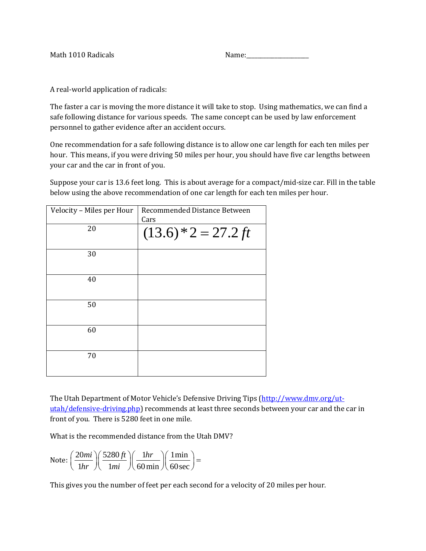| Math 1010 Radicals | Name: |
|--------------------|-------|
|--------------------|-------|

A real-world application of radicals:

The faster a car is moving the more distance it will take to stop. Using mathematics, we can find a safe following distance for various speeds. The same concept can be used by law enforcement personnel to gather evidence after an accident occurs.

One recommendation for a safe following distance is to allow one car length for each ten miles per hour. This means, if you were driving 50 miles per hour, you should have five car lengths between your car and the car in front of you.

Suppose your car is 13.6 feet long. This is about average for a compact/mid-size car. Fill in the table below using the above recommendation of one car length for each ten miles per hour.

| Velocity - Miles per Hour | Recommended Distance Between |
|---------------------------|------------------------------|
|                           | Cars                         |
| 20                        | $(13.6)*2 = 27.2 ft$         |
| 30                        |                              |
| 40                        |                              |
| 50                        |                              |
| 60                        |                              |
| 70                        |                              |

The Utah Department of Motor Vehicle's Defensive Driving Tips [\(http://www.dmv.org/ut](http://www.dmv.org/ut-utah/defensive-driving.php)[utah/defensive-driving.php\)](http://www.dmv.org/ut-utah/defensive-driving.php) recommends at least three seconds between your car and the car in front of you. There is 5280 feet in one mile.

What is the recommended distance from the Utah DMV?

Note: 
$$
\left(\frac{20mi}{1hr}\right)\left(\frac{5280ft}{1mi}\right)\left(\frac{1hr}{60\min}\right)\left(\frac{1\min}{60\sec}\right) =
$$

This gives you the number of feet per each second for a velocity of 20 miles per hour.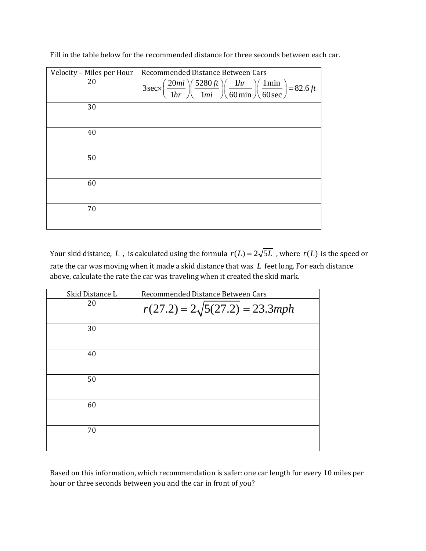| Velocity - Miles per Hour | Recommended Distance Between Cars                                                                                                              |
|---------------------------|------------------------------------------------------------------------------------------------------------------------------------------------|
| 20                        | $3\sec \left(\frac{20mi}{1hr}\right)\left(\frac{5280ft}{1mi}\right)\left(\frac{1hr}{60\min}\right)\left(\frac{1\min}{60\sec}\right) = 82.6 ft$ |
| 30                        |                                                                                                                                                |
| 40                        |                                                                                                                                                |
| 50                        |                                                                                                                                                |
| 60                        |                                                                                                                                                |
| 70                        |                                                                                                                                                |

Fill in the table below for the recommended distance for three seconds between each car.

Your skid distance, L, is calculated using the formula  $r(L) = 2\sqrt{5L}$ , where  $r(L)$  is the speed or rate the car was moving when it made a skid distance that was *L* feet long. For each distance above, calculate the rate the car was traveling when it created the skid mark.

| Skid Distance L | Recommended Distance Between Cars     |
|-----------------|---------------------------------------|
| 20              | $r(27.2) = 2\sqrt{5(27.2)} = 23.3mph$ |
| 30              |                                       |
| 40              |                                       |
| 50              |                                       |
| 60              |                                       |
| 70              |                                       |

Based on this information, which recommendation is safer: one car length for every 10 miles per hour or three seconds between you and the car in front of you?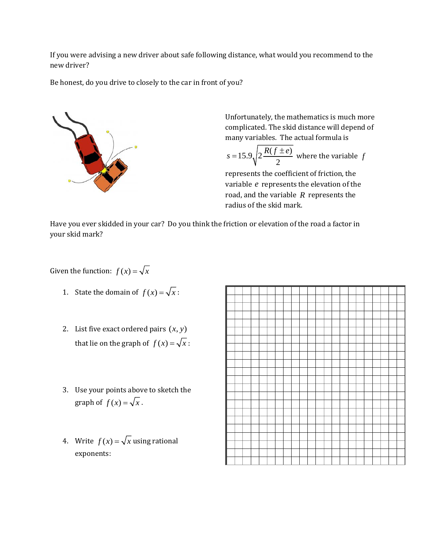If you were advising a new driver about safe following distance, what would you recommend to the new driver?

Be honest, do you drive to closely to the car in front of you?



Unfortunately, the mathematics is much more complicated. The skid distance will depend of many variables. The actual formula is

$$
s = 15.9 \sqrt{2 \frac{R(f \pm e)}{2}}
$$
 where the variable f

represents the coefficient of friction, the variable *e* represents the elevation of the road, and the variable *R* represents the radius of the skid mark.

Have you ever skidded in your car? Do you think the friction or elevation of the road a factor in your skid mark?

Given the function:  $f(x) = \sqrt{x}$ 

- 1. State the domain of  $f(x) = \sqrt{x}$ :
- 2. List five exact ordered pairs  $(x, y)$ that lie on the graph of  $f(x) = \sqrt{x}$ :
- 3. Use your points above to sketch the graph of  $f(x) = \sqrt{x}$ .
- 4. Write  $f(x) = \sqrt{x}$  using rational exponents: